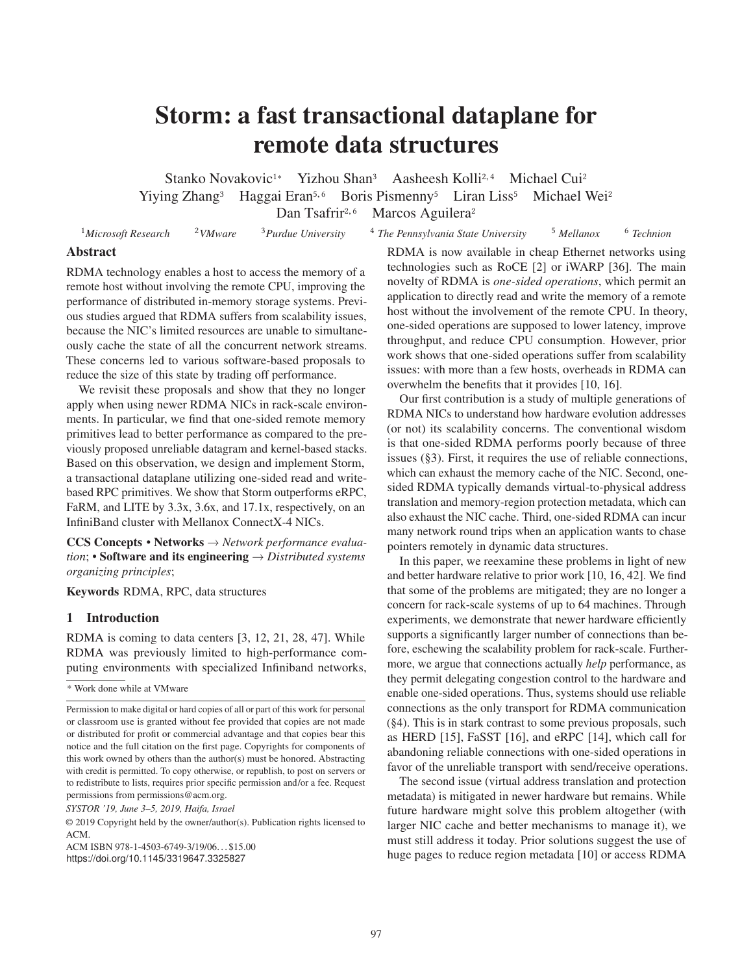# Storm: a fast transactional dataplane for remote data structures

Stanko Novakovic<sup>1</sup>\* Yizhou Shan<sup>3</sup> Aasheesh Kolli<sup>2,4</sup> Michael Cui<sup>2</sup>

Yiying Zhang<sup>3</sup> Haggai Eran<sup>5,6</sup> Boris Pismenny<sup>5</sup> Liran Liss<sup>5</sup> Michael Wei<sup>2</sup>

Dan Tsafrir<sup>2,6</sup> Marcos Aguilera<sup>2</sup>

<sup>1</sup>*Microsoft Research* <sup>2</sup>*VMware* <sup>3</sup>*Purdue University* <sup>4</sup> *The Pennsylvania State University* <sup>5</sup> *Mellanox* <sup>6</sup> *Technion*

# Abstract

RDMA technology enables a host to access the memory of a remote host without involving the remote CPU, improving the performance of distributed in-memory storage systems. Previous studies argued that RDMA suffers from scalability issues, because the NIC's limited resources are unable to simultaneously cache the state of all the concurrent network streams. These concerns led to various software-based proposals to reduce the size of this state by trading off performance.

We revisit these proposals and show that they no longer apply when using newer RDMA NICs in rack-scale environments. In particular, we find that one-sided remote memory primitives lead to better performance as compared to the previously proposed unreliable datagram and kernel-based stacks. Based on this observation, we design and implement Storm, a transactional dataplane utilizing one-sided read and writebased RPC primitives. We show that Storm outperforms eRPC, FaRM, and LITE by 3.3x, 3.6x, and 17.1x, respectively, on an InfiniBand cluster with Mellanox ConnectX-4 NICs.

CCS Concepts • Networks → *Network performance evaluation*; • Software and its engineering → *Distributed systems organizing principles*;

Keywords RDMA, RPC, data structures

# 1 Introduction

RDMA is coming to data centers [3, 12, 21, 28, 47]. While RDMA was previously limited to high-performance computing environments with specialized Infiniband networks,

\* Work done while at VMware

*SYSTOR '19, June 3–5, 2019, Haifa, Israel*

ACM ISBN 978-1-4503-6749-3/19/06. . . \$15.00

https://doi.org/10.1145/3319647.3325827

RDMA is now available in cheap Ethernet networks using technologies such as RoCE [2] or iWARP [36]. The main novelty of RDMA is *one-sided operations*, which permit an application to directly read and write the memory of a remote host without the involvement of the remote CPU. In theory, one-sided operations are supposed to lower latency, improve throughput, and reduce CPU consumption. However, prior work shows that one-sided operations suffer from scalability issues: with more than a few hosts, overheads in RDMA can overwhelm the benefits that it provides [10, 16].

Our first contribution is a study of multiple generations of RDMA NICs to understand how hardware evolution addresses (or not) its scalability concerns. The conventional wisdom is that one-sided RDMA performs poorly because of three issues (§3). First, it requires the use of reliable connections, which can exhaust the memory cache of the NIC. Second, onesided RDMA typically demands virtual-to-physical address translation and memory-region protection metadata, which can also exhaust the NIC cache. Third, one-sided RDMA can incur many network round trips when an application wants to chase pointers remotely in dynamic data structures.

In this paper, we reexamine these problems in light of new and better hardware relative to prior work [10, 16, 42]. We find that some of the problems are mitigated; they are no longer a concern for rack-scale systems of up to 64 machines. Through experiments, we demonstrate that newer hardware efficiently supports a significantly larger number of connections than before, eschewing the scalability problem for rack-scale. Furthermore, we argue that connections actually *help* performance, as they permit delegating congestion control to the hardware and enable one-sided operations. Thus, systems should use reliable connections as the only transport for RDMA communication (§4). This is in stark contrast to some previous proposals, such as HERD [15], FaSST [16], and eRPC [14], which call for abandoning reliable connections with one-sided operations in favor of the unreliable transport with send/receive operations.

The second issue (virtual address translation and protection metadata) is mitigated in newer hardware but remains. While future hardware might solve this problem altogether (with larger NIC cache and better mechanisms to manage it), we must still address it today. Prior solutions suggest the use of huge pages to reduce region metadata [10] or access RDMA

Permission to make digital or hard copies of all or part of this work for personal or classroom use is granted without fee provided that copies are not made or distributed for profit or commercial advantage and that copies bear this notice and the full citation on the first page. Copyrights for components of this work owned by others than the author(s) must be honored. Abstracting with credit is permitted. To copy otherwise, or republish, to post on servers or to redistribute to lists, requires prior specific permission and/or a fee. Request permissions from permissions@acm.org.

<sup>©</sup> 2019 Copyright held by the owner/author(s). Publication rights licensed to ACM.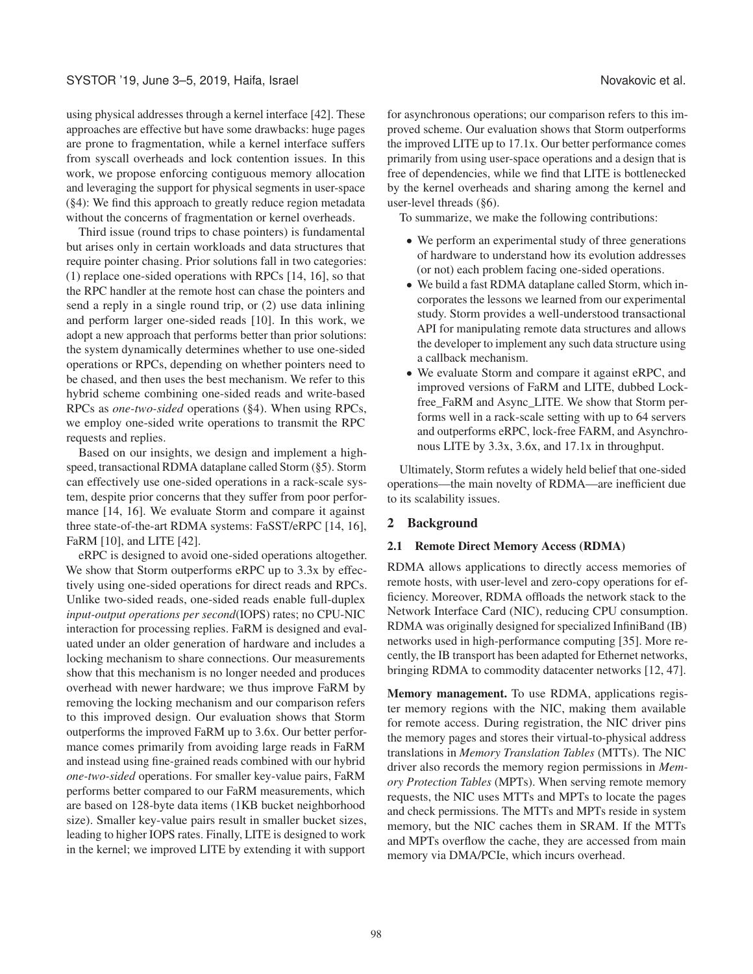using physical addresses through a kernel interface [42]. These approaches are effective but have some drawbacks: huge pages are prone to fragmentation, while a kernel interface suffers from syscall overheads and lock contention issues. In this work, we propose enforcing contiguous memory allocation and leveraging the support for physical segments in user-space (§4): We find this approach to greatly reduce region metadata without the concerns of fragmentation or kernel overheads.

Third issue (round trips to chase pointers) is fundamental but arises only in certain workloads and data structures that require pointer chasing. Prior solutions fall in two categories: (1) replace one-sided operations with RPCs [14, 16], so that the RPC handler at the remote host can chase the pointers and send a reply in a single round trip, or (2) use data inlining and perform larger one-sided reads [10]. In this work, we adopt a new approach that performs better than prior solutions: the system dynamically determines whether to use one-sided operations or RPCs, depending on whether pointers need to be chased, and then uses the best mechanism. We refer to this hybrid scheme combining one-sided reads and write-based RPCs as *one-two-sided* operations (§4). When using RPCs, we employ one-sided write operations to transmit the RPC requests and replies.

Based on our insights, we design and implement a highspeed, transactional RDMA dataplane called Storm (§5). Storm can effectively use one-sided operations in a rack-scale system, despite prior concerns that they suffer from poor performance [14, 16]. We evaluate Storm and compare it against three state-of-the-art RDMA systems: FaSST/eRPC [14, 16], FaRM [10], and LITE [42].

eRPC is designed to avoid one-sided operations altogether. We show that Storm outperforms eRPC up to 3.3x by effectively using one-sided operations for direct reads and RPCs. Unlike two-sided reads, one-sided reads enable full-duplex *input-output operations per second*(IOPS) rates; no CPU-NIC interaction for processing replies. FaRM is designed and evaluated under an older generation of hardware and includes a locking mechanism to share connections. Our measurements show that this mechanism is no longer needed and produces overhead with newer hardware; we thus improve FaRM by removing the locking mechanism and our comparison refers to this improved design. Our evaluation shows that Storm outperforms the improved FaRM up to 3.6x. Our better performance comes primarily from avoiding large reads in FaRM and instead using fine-grained reads combined with our hybrid *one-two-sided* operations. For smaller key-value pairs, FaRM performs better compared to our FaRM measurements, which are based on 128-byte data items (1KB bucket neighborhood size). Smaller key-value pairs result in smaller bucket sizes, leading to higher IOPS rates. Finally, LITE is designed to work in the kernel; we improved LITE by extending it with support

for asynchronous operations; our comparison refers to this improved scheme. Our evaluation shows that Storm outperforms the improved LITE up to 17.1x. Our better performance comes primarily from using user-space operations and a design that is free of dependencies, while we find that LITE is bottlenecked by the kernel overheads and sharing among the kernel and user-level threads (§6).

To summarize, we make the following contributions:

- We perform an experimental study of three generations of hardware to understand how its evolution addresses (or not) each problem facing one-sided operations.
- We build a fast RDMA dataplane called Storm, which incorporates the lessons we learned from our experimental study. Storm provides a well-understood transactional API for manipulating remote data structures and allows the developer to implement any such data structure using a callback mechanism.
- We evaluate Storm and compare it against eRPC, and improved versions of FaRM and LITE, dubbed Lockfree FaRM and Async LITE. We show that Storm performs well in a rack-scale setting with up to 64 servers and outperforms eRPC, lock-free FARM, and Asynchronous LITE by 3.3x, 3.6x, and 17.1x in throughput.

Ultimately, Storm refutes a widely held belief that one-sided operations—the main novelty of RDMA—are inefficient due to its scalability issues.

# 2 Background

### 2.1 Remote Direct Memory Access (RDMA)

RDMA allows applications to directly access memories of remote hosts, with user-level and zero-copy operations for efficiency. Moreover, RDMA offloads the network stack to the Network Interface Card (NIC), reducing CPU consumption. RDMA was originally designed for specialized InfiniBand (IB) networks used in high-performance computing [35]. More recently, the IB transport has been adapted for Ethernet networks, bringing RDMA to commodity datacenter networks [12, 47].

Memory management. To use RDMA, applications register memory regions with the NIC, making them available for remote access. During registration, the NIC driver pins the memory pages and stores their virtual-to-physical address translations in *Memory Translation Tables* (MTTs). The NIC driver also records the memory region permissions in *Memory Protection Tables* (MPTs). When serving remote memory requests, the NIC uses MTTs and MPTs to locate the pages and check permissions. The MTTs and MPTs reside in system memory, but the NIC caches them in SRAM. If the MTTs and MPTs overflow the cache, they are accessed from main memory via DMA/PCIe, which incurs overhead.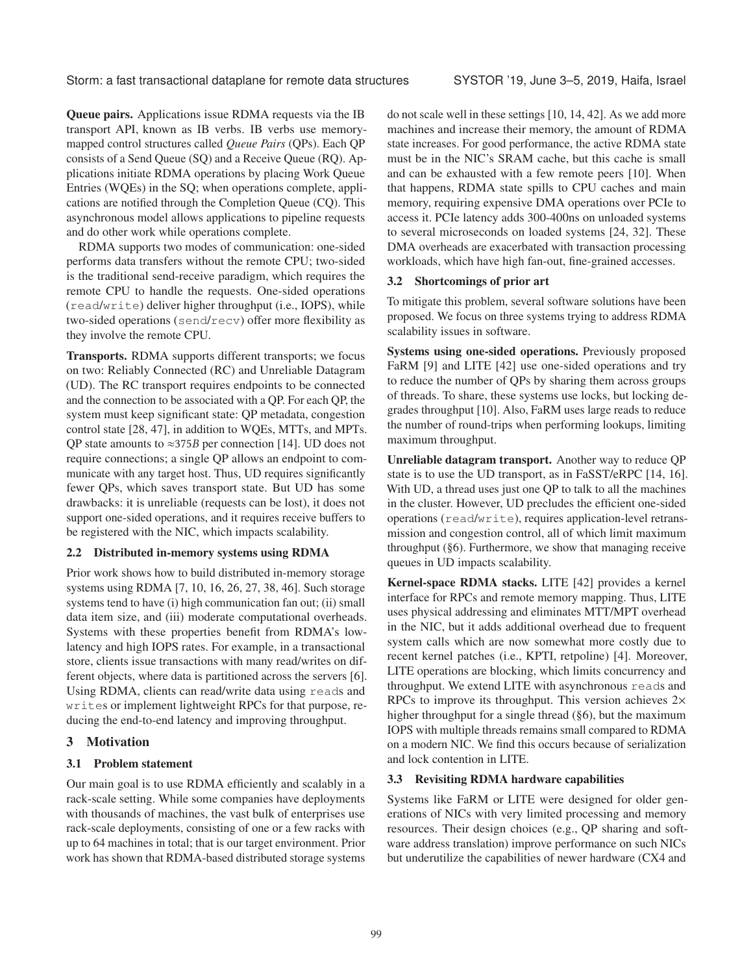Storm: a fast transactional dataplane for remote data structures SYSTOR '19, June 3–5, 2019, Haifa, Israel

Queue pairs. Applications issue RDMA requests via the IB transport API, known as IB verbs. IB verbs use memorymapped control structures called *Queue Pairs* (QPs). Each QP consists of a Send Queue (SQ) and a Receive Queue (RQ). Applications initiate RDMA operations by placing Work Queue Entries (WQEs) in the SQ; when operations complete, applications are notified through the Completion Queue (CQ). This asynchronous model allows applications to pipeline requests and do other work while operations complete.

RDMA supports two modes of communication: one-sided performs data transfers without the remote CPU; two-sided is the traditional send-receive paradigm, which requires the remote CPU to handle the requests. One-sided operations (read/write) deliver higher throughput (i.e., IOPS), while two-sided operations (send/recv) offer more flexibility as they involve the remote CPU.

Transports. RDMA supports different transports; we focus on two: Reliably Connected (RC) and Unreliable Datagram (UD). The RC transport requires endpoints to be connected and the connection to be associated with a QP. For each QP, the system must keep significant state: QP metadata, congestion control state [28, 47], in addition to WQEs, MTTs, and MPTs. QP state amounts to  $\approx$ 375B per connection [14]. UD does not require connections; a single QP allows an endpoint to communicate with any target host. Thus, UD requires significantly fewer QPs, which saves transport state. But UD has some drawbacks: it is unreliable (requests can be lost), it does not support one-sided operations, and it requires receive buffers to be registered with the NIC, which impacts scalability.

#### 2.2 Distributed in-memory systems using RDMA

Prior work shows how to build distributed in-memory storage systems using RDMA [7, 10, 16, 26, 27, 38, 46]. Such storage systems tend to have (i) high communication fan out; (ii) small data item size, and (iii) moderate computational overheads. Systems with these properties benefit from RDMA's lowlatency and high IOPS rates. For example, in a transactional store, clients issue transactions with many read/writes on different objects, where data is partitioned across the servers [6]. Using RDMA, clients can read/write data using reads and writes or implement lightweight RPCs for that purpose, reducing the end-to-end latency and improving throughput.

# 3 Motivation

# 3.1 Problem statement

Our main goal is to use RDMA efficiently and scalably in a rack-scale setting. While some companies have deployments with thousands of machines, the vast bulk of enterprises use rack-scale deployments, consisting of one or a few racks with up to 64 machines in total; that is our target environment. Prior work has shown that RDMA-based distributed storage systems do not scale well in these settings [10, 14, 42]. As we add more machines and increase their memory, the amount of RDMA state increases. For good performance, the active RDMA state must be in the NIC's SRAM cache, but this cache is small and can be exhausted with a few remote peers [10]. When that happens, RDMA state spills to CPU caches and main memory, requiring expensive DMA operations over PCIe to access it. PCIe latency adds 300-400ns on unloaded systems to several microseconds on loaded systems [24, 32]. These DMA overheads are exacerbated with transaction processing workloads, which have high fan-out, fine-grained accesses.

# 3.2 Shortcomings of prior art

To mitigate this problem, several software solutions have been proposed. We focus on three systems trying to address RDMA scalability issues in software.

Systems using one-sided operations. Previously proposed FaRM [9] and LITE [42] use one-sided operations and try to reduce the number of QPs by sharing them across groups of threads. To share, these systems use locks, but locking degrades throughput [10]. Also, FaRM uses large reads to reduce the number of round-trips when performing lookups, limiting maximum throughput.

Unreliable datagram transport. Another way to reduce QP state is to use the UD transport, as in FaSST/eRPC [14, 16]. With UD, a thread uses just one QP to talk to all the machines in the cluster. However, UD precludes the efficient one-sided operations (read/write), requires application-level retransmission and congestion control, all of which limit maximum throughput (§6). Furthermore, we show that managing receive queues in UD impacts scalability.

Kernel-space RDMA stacks. LITE [42] provides a kernel interface for RPCs and remote memory mapping. Thus, LITE uses physical addressing and eliminates MTT/MPT overhead in the NIC, but it adds additional overhead due to frequent system calls which are now somewhat more costly due to recent kernel patches (i.e., KPTI, retpoline) [4]. Moreover, LITE operations are blocking, which limits concurrency and throughput. We extend LITE with asynchronous reads and RPCs to improve its throughput. This version achieves 2× higher throughput for a single thread (§6), but the maximum IOPS with multiple threads remains small compared to RDMA on a modern NIC. We find this occurs because of serialization and lock contention in LITE.

#### 3.3 Revisiting RDMA hardware capabilities

Systems like FaRM or LITE were designed for older generations of NICs with very limited processing and memory resources. Their design choices (e.g., QP sharing and software address translation) improve performance on such NICs but underutilize the capabilities of newer hardware (CX4 and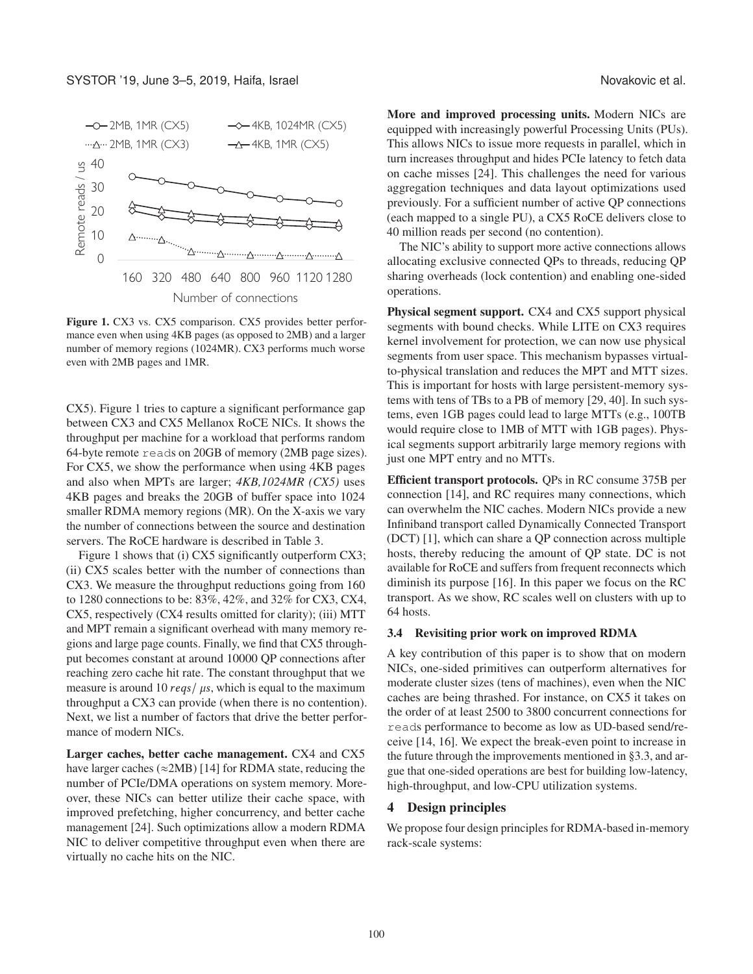

Figure 1. CX3 vs. CX5 comparison. CX5 provides better performance even when using 4KB pages (as opposed to 2MB) and a larger number of memory regions (1024MR). CX3 performs much worse even with 2MB pages and 1MR.

CX5). Figure 1 tries to capture a significant performance gap between CX3 and CX5 Mellanox RoCE NICs. It shows the throughput per machine for a workload that performs random 64-byte remote reads on 20GB of memory (2MB page sizes). For CX5, we show the performance when using 4KB pages and also when MPTs are larger; *4KB,1024MR (CX5)* uses 4KB pages and breaks the 20GB of buffer space into 1024 smaller RDMA memory regions (MR). On the X-axis we vary the number of connections between the source and destination servers. The RoCE hardware is described in Table 3.

Figure 1 shows that (i) CX5 significantly outperform CX3; (ii) CX5 scales better with the number of connections than CX3. We measure the throughput reductions going from 160 to 1280 connections to be: 83%, 42%, and 32% for CX3, CX4, CX5, respectively (CX4 results omitted for clarity); (iii) MTT and MPT remain a significant overhead with many memory regions and large page counts. Finally, we find that CX5 throughput becomes constant at around 10000 QP connections after reaching zero cache hit rate. The constant throughput that we measure is around 10 reqs/ $\mu$ s, which is equal to the maximum throughput a CX3 can provide (when there is no contention). Next, we list a number of factors that drive the better performance of modern NICs.

Larger caches, better cache management. CX4 and CX5 have larger caches ( $\approx$ 2MB) [14] for RDMA state, reducing the number of PCIe/DMA operations on system memory. Moreover, these NICs can better utilize their cache space, with improved prefetching, higher concurrency, and better cache management [24]. Such optimizations allow a modern RDMA NIC to deliver competitive throughput even when there are virtually no cache hits on the NIC.

More and improved processing units. Modern NICs are equipped with increasingly powerful Processing Units (PUs). This allows NICs to issue more requests in parallel, which in turn increases throughput and hides PCIe latency to fetch data on cache misses [24]. This challenges the need for various aggregation techniques and data layout optimizations used previously. For a sufficient number of active QP connections (each mapped to a single PU), a CX5 RoCE delivers close to 40 million reads per second (no contention).

The NIC's ability to support more active connections allows allocating exclusive connected QPs to threads, reducing QP sharing overheads (lock contention) and enabling one-sided operations.

Physical segment support. CX4 and CX5 support physical segments with bound checks. While LITE on CX3 requires kernel involvement for protection, we can now use physical segments from user space. This mechanism bypasses virtualto-physical translation and reduces the MPT and MTT sizes. This is important for hosts with large persistent-memory systems with tens of TBs to a PB of memory [29, 40]. In such systems, even 1GB pages could lead to large MTTs (e.g., 100TB would require close to 1MB of MTT with 1GB pages). Physical segments support arbitrarily large memory regions with just one MPT entry and no MTTs.

Efficient transport protocols. QPs in RC consume 375B per connection [14], and RC requires many connections, which can overwhelm the NIC caches. Modern NICs provide a new Infiniband transport called Dynamically Connected Transport (DCT) [1], which can share a QP connection across multiple hosts, thereby reducing the amount of QP state. DC is not available for RoCE and suffers from frequent reconnects which diminish its purpose [16]. In this paper we focus on the RC transport. As we show, RC scales well on clusters with up to 64 hosts.

# 3.4 Revisiting prior work on improved RDMA

A key contribution of this paper is to show that on modern NICs, one-sided primitives can outperform alternatives for moderate cluster sizes (tens of machines), even when the NIC caches are being thrashed. For instance, on CX5 it takes on the order of at least 2500 to 3800 concurrent connections for reads performance to become as low as UD-based send/receive [14, 16]. We expect the break-even point to increase in the future through the improvements mentioned in §3.3, and argue that one-sided operations are best for building low-latency, high-throughput, and low-CPU utilization systems.

#### 4 Design principles

We propose four design principles for RDMA-based in-memory rack-scale systems: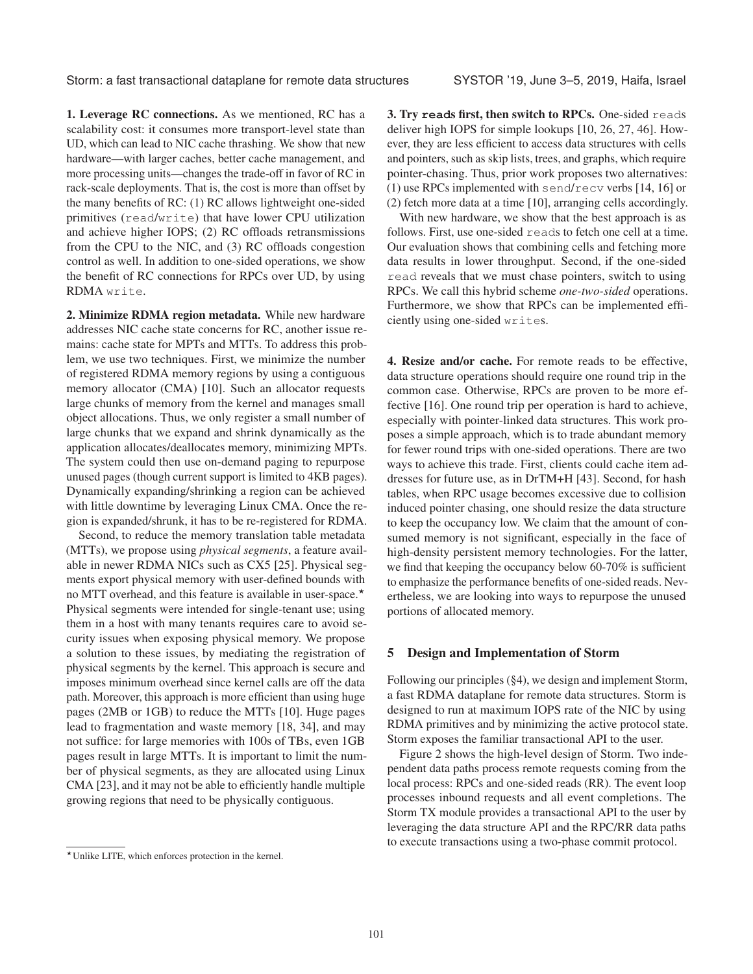1. Leverage RC connections. As we mentioned, RC has a scalability cost: it consumes more transport-level state than UD, which can lead to NIC cache thrashing. We show that new hardware—with larger caches, better cache management, and more processing units—changes the trade-off in favor of RC in rack-scale deployments. That is, the cost is more than offset by the many benefits of RC: (1) RC allows lightweight one-sided primitives (read/write) that have lower CPU utilization and achieve higher IOPS; (2) RC offloads retransmissions from the CPU to the NIC, and (3) RC offloads congestion control as well. In addition to one-sided operations, we show the benefit of RC connections for RPCs over UD, by using RDMA write.

2. Minimize RDMA region metadata. While new hardware addresses NIC cache state concerns for RC, another issue remains: cache state for MPTs and MTTs. To address this problem, we use two techniques. First, we minimize the number of registered RDMA memory regions by using a contiguous memory allocator (CMA) [10]. Such an allocator requests large chunks of memory from the kernel and manages small object allocations. Thus, we only register a small number of large chunks that we expand and shrink dynamically as the application allocates/deallocates memory, minimizing MPTs. The system could then use on-demand paging to repurpose unused pages (though current support is limited to 4KB pages). Dynamically expanding/shrinking a region can be achieved with little downtime by leveraging Linux CMA. Once the region is expanded/shrunk, it has to be re-registered for RDMA.

Second, to reduce the memory translation table metadata (MTTs), we propose using *physical segments*, a feature available in newer RDMA NICs such as CX5 [25]. Physical segments export physical memory with user-defined bounds with no MTT overhead, and this feature is available in user-space. $\star$ Physical segments were intended for single-tenant use; using them in a host with many tenants requires care to avoid security issues when exposing physical memory. We propose a solution to these issues, by mediating the registration of physical segments by the kernel. This approach is secure and imposes minimum overhead since kernel calls are off the data path. Moreover, this approach is more efficient than using huge pages (2MB or 1GB) to reduce the MTTs [10]. Huge pages lead to fragmentation and waste memory [18, 34], and may not suffice: for large memories with 100s of TBs, even 1GB pages result in large MTTs. It is important to limit the number of physical segments, as they are allocated using Linux CMA [23], and it may not be able to efficiently handle multiple growing regions that need to be physically contiguous.

3. Try **read**s first, then switch to RPCs. One-sided reads deliver high IOPS for simple lookups [10, 26, 27, 46]. However, they are less efficient to access data structures with cells and pointers, such as skip lists, trees, and graphs, which require pointer-chasing. Thus, prior work proposes two alternatives: (1) use RPCs implemented with send/recv verbs [14, 16] or (2) fetch more data at a time [10], arranging cells accordingly.

With new hardware, we show that the best approach is as follows. First, use one-sided reads to fetch one cell at a time. Our evaluation shows that combining cells and fetching more data results in lower throughput. Second, if the one-sided read reveals that we must chase pointers, switch to using RPCs. We call this hybrid scheme *one-two-sided* operations. Furthermore, we show that RPCs can be implemented efficiently using one-sided writes.

4. Resize and/or cache. For remote reads to be effective, data structure operations should require one round trip in the common case. Otherwise, RPCs are proven to be more effective [16]. One round trip per operation is hard to achieve, especially with pointer-linked data structures. This work proposes a simple approach, which is to trade abundant memory for fewer round trips with one-sided operations. There are two ways to achieve this trade. First, clients could cache item addresses for future use, as in DrTM+H [43]. Second, for hash tables, when RPC usage becomes excessive due to collision induced pointer chasing, one should resize the data structure to keep the occupancy low. We claim that the amount of consumed memory is not significant, especially in the face of high-density persistent memory technologies. For the latter, we find that keeping the occupancy below 60-70% is sufficient to emphasize the performance benefits of one-sided reads. Nevertheless, we are looking into ways to repurpose the unused portions of allocated memory.

### 5 Design and Implementation of Storm

Following our principles (§4), we design and implement Storm, a fast RDMA dataplane for remote data structures. Storm is designed to run at maximum IOPS rate of the NIC by using RDMA primitives and by minimizing the active protocol state. Storm exposes the familiar transactional API to the user.

Figure 2 shows the high-level design of Storm. Two independent data paths process remote requests coming from the local process: RPCs and one-sided reads (RR). The event loop processes inbound requests and all event completions. The Storm TX module provides a transactional API to the user by leveraging the data structure API and the RPC/RR data paths to execute transactions using a two-phase commit protocol.

<sup>-</sup>Unlike LITE, which enforces protection in the kernel.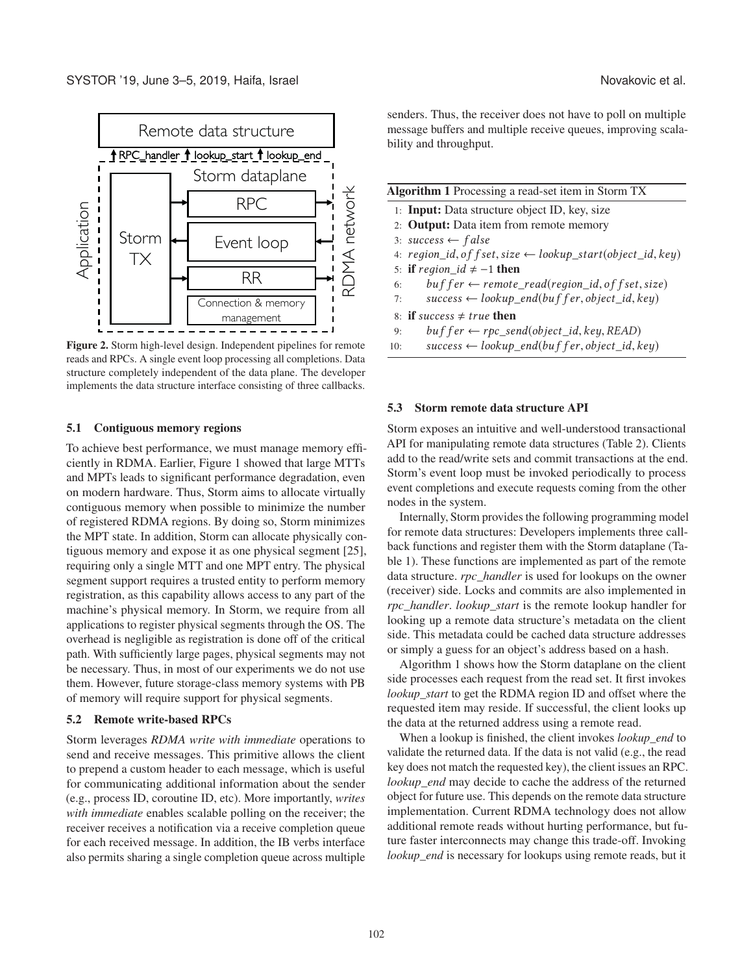



Figure 2. Storm high-level design. Independent pipelines for remote reads and RPCs. A single event loop processing all completions. Data structure completely independent of the data plane. The developer implements the data structure interface consisting of three callbacks.

#### 5.1 Contiguous memory regions

To achieve best performance, we must manage memory efficiently in RDMA. Earlier, Figure 1 showed that large MTTs and MPTs leads to significant performance degradation, even on modern hardware. Thus, Storm aims to allocate virtually contiguous memory when possible to minimize the number of registered RDMA regions. By doing so, Storm minimizes the MPT state. In addition, Storm can allocate physically contiguous memory and expose it as one physical segment [25], requiring only a single MTT and one MPT entry. The physical segment support requires a trusted entity to perform memory registration, as this capability allows access to any part of the machine's physical memory. In Storm, we require from all applications to register physical segments through the OS. The overhead is negligible as registration is done off of the critical path. With sufficiently large pages, physical segments may not be necessary. Thus, in most of our experiments we do not use them. However, future storage-class memory systems with PB of memory will require support for physical segments.

#### 5.2 Remote write-based RPCs

Storm leverages *RDMA write with immediate* operations to send and receive messages. This primitive allows the client to prepend a custom header to each message, which is useful for communicating additional information about the sender (e.g., process ID, coroutine ID, etc). More importantly, *writes with immediate* enables scalable polling on the receiver; the receiver receives a notification via a receive completion queue for each received message. In addition, the IB verbs interface also permits sharing a single completion queue across multiple senders. Thus, the receiver does not have to poll on multiple message buffers and multiple receive queues, improving scalability and throughput.

| <b>Algorithm 1</b> Processing a read-set item in Storm TX |  |  |  |
|-----------------------------------------------------------|--|--|--|
|-----------------------------------------------------------|--|--|--|

- 1: Input: Data structure object ID, key, size
- 2: Output: Data item from remote memory
- 3: success  $\leftarrow$  false
- 4:  $region_id, of f set, size \leftarrow lookup\_start(object_id, key)$
- 5: if  $region\_id \neq -1$  then
- 6: buf fer  $\leftarrow$  remote\_read(region\_id, of f set, size)
- 7: success  $\leftarrow$  lookup end(buf f er, object id, key)
- 8: if success  $\neq true$  then
- 9:  $buf$  f er  $\leftarrow$  rpc\_send(object\_id, key, READ)
- 10:  $success \leftarrow lookup\_end(bufffer, object\_id, key)$

#### 5.3 Storm remote data structure API

Storm exposes an intuitive and well-understood transactional API for manipulating remote data structures (Table 2). Clients add to the read/write sets and commit transactions at the end. Storm's event loop must be invoked periodically to process event completions and execute requests coming from the other nodes in the system.

Internally, Storm provides the following programming model for remote data structures: Developers implements three callback functions and register them with the Storm dataplane (Table 1). These functions are implemented as part of the remote data structure. *rpc\_handler* is used for lookups on the owner (receiver) side. Locks and commits are also implemented in *rpc\_handler*. *lookup\_start* is the remote lookup handler for looking up a remote data structure's metadata on the client side. This metadata could be cached data structure addresses or simply a guess for an object's address based on a hash.

Algorithm 1 shows how the Storm dataplane on the client side processes each request from the read set. It first invokes *lookup\_start* to get the RDMA region ID and offset where the requested item may reside. If successful, the client looks up the data at the returned address using a remote read.

When a lookup is finished, the client invokes *lookup\_end* to validate the returned data. If the data is not valid (e.g., the read key does not match the requested key), the client issues an RPC. *lookup\_end* may decide to cache the address of the returned object for future use. This depends on the remote data structure implementation. Current RDMA technology does not allow additional remote reads without hurting performance, but future faster interconnects may change this trade-off. Invoking *lookup\_end* is necessary for lookups using remote reads, but it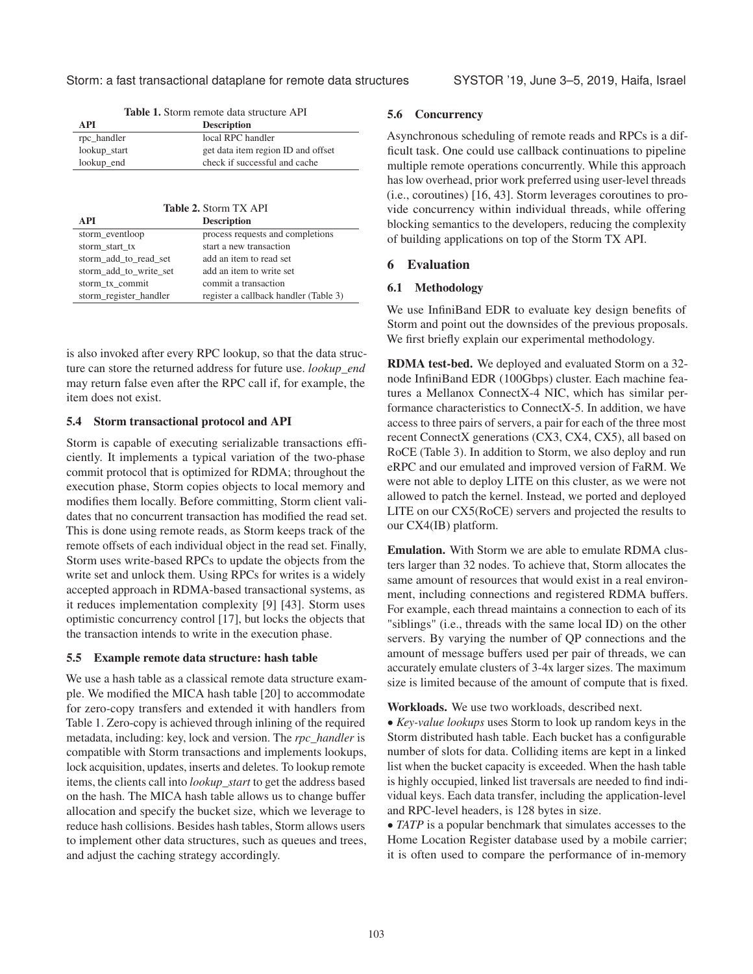Storm: a fast transactional dataplane for remote data structures SYSTOR '19, June 3–5, 2019, Haifa, Israel

| A PI<br><b>Description</b> |                                    |
|----------------------------|------------------------------------|
| rpc_handler                | local RPC handler                  |
| lookup_start               | get data item region ID and offset |
| lookup_end                 | check if successful and cache      |

Table 1. Storm remote data structure API

| <b>Table 2. Storm TX API</b> |  |
|------------------------------|--|
|------------------------------|--|

| <b>API</b>             | <b>Description</b>                    |
|------------------------|---------------------------------------|
| storm_eventloop        | process requests and completions      |
| storm_start_tx         | start a new transaction               |
| storm add to read set  | add an item to read set               |
| storm add to write set | add an item to write set              |
| storm tx commit        | commit a transaction                  |
| storm_register_handler | register a callback handler (Table 3) |

is also invoked after every RPC lookup, so that the data structure can store the returned address for future use. *lookup\_end* may return false even after the RPC call if, for example, the item does not exist.

### 5.4 Storm transactional protocol and API

Storm is capable of executing serializable transactions efficiently. It implements a typical variation of the two-phase commit protocol that is optimized for RDMA; throughout the execution phase, Storm copies objects to local memory and modifies them locally. Before committing, Storm client validates that no concurrent transaction has modified the read set. This is done using remote reads, as Storm keeps track of the remote offsets of each individual object in the read set. Finally, Storm uses write-based RPCs to update the objects from the write set and unlock them. Using RPCs for writes is a widely accepted approach in RDMA-based transactional systems, as it reduces implementation complexity [9] [43]. Storm uses optimistic concurrency control [17], but locks the objects that the transaction intends to write in the execution phase.

#### 5.5 Example remote data structure: hash table

We use a hash table as a classical remote data structure example. We modified the MICA hash table [20] to accommodate for zero-copy transfers and extended it with handlers from Table 1. Zero-copy is achieved through inlining of the required metadata, including: key, lock and version. The *rpc\_handler* is compatible with Storm transactions and implements lookups, lock acquisition, updates, inserts and deletes. To lookup remote items, the clients call into *lookup\_start* to get the address based on the hash. The MICA hash table allows us to change buffer allocation and specify the bucket size, which we leverage to reduce hash collisions. Besides hash tables, Storm allows users to implement other data structures, such as queues and trees, and adjust the caching strategy accordingly.

### 5.6 Concurrency

Asynchronous scheduling of remote reads and RPCs is a difficult task. One could use callback continuations to pipeline multiple remote operations concurrently. While this approach has low overhead, prior work preferred using user-level threads (i.e., coroutines) [16, 43]. Storm leverages coroutines to provide concurrency within individual threads, while offering blocking semantics to the developers, reducing the complexity of building applications on top of the Storm TX API.

#### 6 Evaluation

# 6.1 Methodology

We use InfiniBand EDR to evaluate key design benefits of Storm and point out the downsides of the previous proposals. We first briefly explain our experimental methodology.

RDMA test-bed. We deployed and evaluated Storm on a 32 node InfiniBand EDR (100Gbps) cluster. Each machine features a Mellanox ConnectX-4 NIC, which has similar performance characteristics to ConnectX-5. In addition, we have access to three pairs of servers, a pair for each of the three most recent ConnectX generations (CX3, CX4, CX5), all based on RoCE (Table 3). In addition to Storm, we also deploy and run eRPC and our emulated and improved version of FaRM. We were not able to deploy LITE on this cluster, as we were not allowed to patch the kernel. Instead, we ported and deployed LITE on our CX5(RoCE) servers and projected the results to our CX4(IB) platform.

Emulation. With Storm we are able to emulate RDMA clusters larger than 32 nodes. To achieve that, Storm allocates the same amount of resources that would exist in a real environment, including connections and registered RDMA buffers. For example, each thread maintains a connection to each of its "siblings" (i.e., threads with the same local ID) on the other servers. By varying the number of QP connections and the amount of message buffers used per pair of threads, we can accurately emulate clusters of 3-4x larger sizes. The maximum size is limited because of the amount of compute that is fixed.

Workloads. We use two workloads, described next.

• *Key-value lookups* uses Storm to look up random keys in the Storm distributed hash table. Each bucket has a configurable number of slots for data. Colliding items are kept in a linked list when the bucket capacity is exceeded. When the hash table is highly occupied, linked list traversals are needed to find individual keys. Each data transfer, including the application-level and RPC-level headers, is 128 bytes in size.

• *TATP* is a popular benchmark that simulates accesses to the Home Location Register database used by a mobile carrier; it is often used to compare the performance of in-memory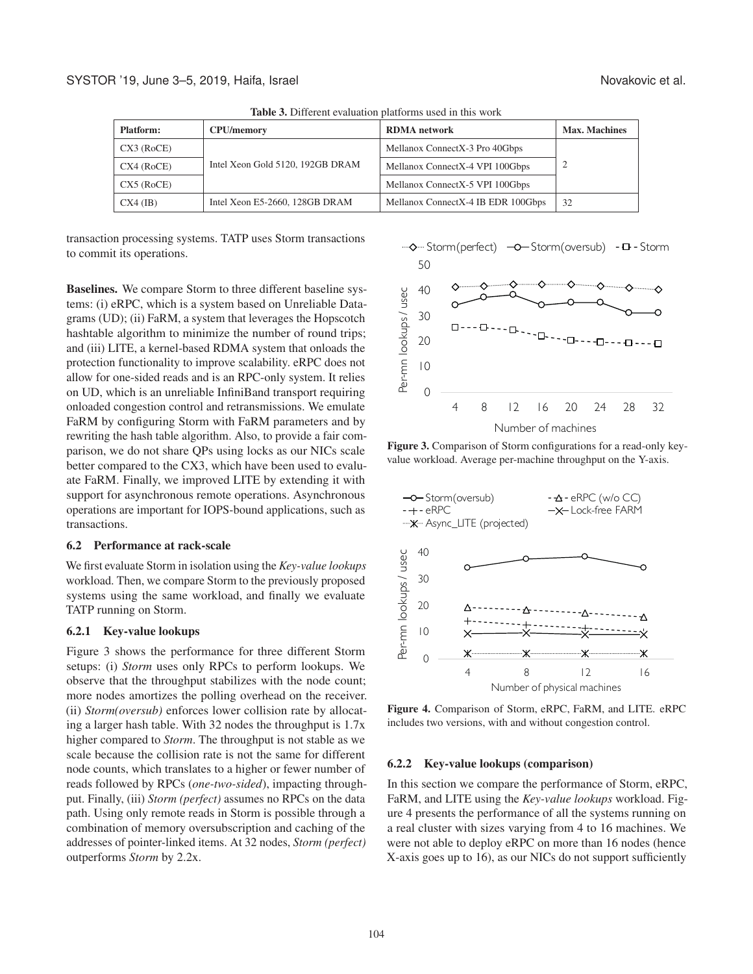| THE CALL OF THE CHANGE OF CHANGE OF PASSE OF THE COLLECTION OF CHANGE AND THE CALLE |                                  |                                    |                      |
|-------------------------------------------------------------------------------------|----------------------------------|------------------------------------|----------------------|
| <b>Platform:</b>                                                                    | <b>CPU/memory</b>                | <b>RDMA</b> network                | <b>Max. Machines</b> |
| CX3 (RoCE)                                                                          |                                  | Mellanox ConnectX-3 Pro 40Gbps     |                      |
| CX4 (RoCE)                                                                          | Intel Xeon Gold 5120, 192GB DRAM | Mellanox ConnectX-4 VPI 100Gbps    |                      |
| CX5 (RoCE)                                                                          |                                  | Mellanox ConnectX-5 VPI 100Gbps    |                      |
| $CX4$ (IB)                                                                          | Intel Xeon E5-2660, 128GB DRAM   | Mellanox ConnectX-4 IB EDR 100Gbps | 32                   |

Table 3. Different evaluation platforms used in this work

transaction processing systems. TATP uses Storm transactions to commit its operations.

Baselines. We compare Storm to three different baseline systems: (i) eRPC, which is a system based on Unreliable Datagrams (UD); (ii) FaRM, a system that leverages the Hopscotch hashtable algorithm to minimize the number of round trips; and (iii) LITE, a kernel-based RDMA system that onloads the protection functionality to improve scalability. eRPC does not allow for one-sided reads and is an RPC-only system. It relies on UD, which is an unreliable InfiniBand transport requiring onloaded congestion control and retransmissions. We emulate FaRM by configuring Storm with FaRM parameters and by rewriting the hash table algorithm. Also, to provide a fair comparison, we do not share QPs using locks as our NICs scale better compared to the CX3, which have been used to evaluate FaRM. Finally, we improved LITE by extending it with support for asynchronous remote operations. Asynchronous operations are important for IOPS-bound applications, such as transactions.

#### 6.2 Performance at rack-scale

We first evaluate Storm in isolation using the *Key-value lookups* workload. Then, we compare Storm to the previously proposed systems using the same workload, and finally we evaluate TATP running on Storm.

#### 6.2.1 Key-value lookups

Figure 3 shows the performance for three different Storm setups: (i) *Storm* uses only RPCs to perform lookups. We observe that the throughput stabilizes with the node count; more nodes amortizes the polling overhead on the receiver. (ii) *Storm(oversub)* enforces lower collision rate by allocating a larger hash table. With 32 nodes the throughput is 1.7x higher compared to *Storm*. The throughput is not stable as we scale because the collision rate is not the same for different node counts, which translates to a higher or fewer number of reads followed by RPCs (*one-two-sided*), impacting throughput. Finally, (iii) *Storm (perfect)* assumes no RPCs on the data path. Using only remote reads in Storm is possible through a combination of memory oversubscription and caching of the addresses of pointer-linked items. At 32 nodes, *Storm (perfect)* outperforms *Storm* by 2.2x.



Figure 3. Comparison of Storm configurations for a read-only keyvalue workload. Average per-machine throughput on the Y-axis.



Figure 4. Comparison of Storm, eRPC, FaRM, and LITE. eRPC includes two versions, with and without congestion control.

#### 6.2.2 Key-value lookups (comparison)

In this section we compare the performance of Storm, eRPC, FaRM, and LITE using the *Key-value lookups* workload. Figure 4 presents the performance of all the systems running on a real cluster with sizes varying from 4 to 16 machines. We were not able to deploy eRPC on more than 16 nodes (hence X-axis goes up to 16), as our NICs do not support sufficiently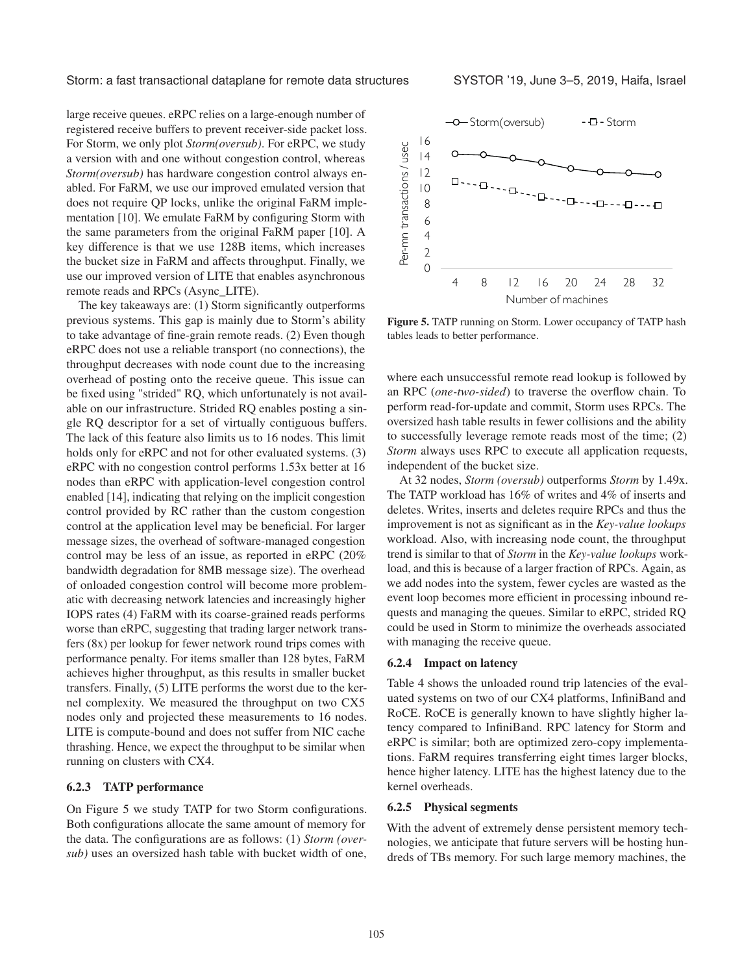large receive queues. eRPC relies on a large-enough number of registered receive buffers to prevent receiver-side packet loss. For Storm, we only plot *Storm(oversub)*. For eRPC, we study a version with and one without congestion control, whereas *Storm(oversub)* has hardware congestion control always enabled. For FaRM, we use our improved emulated version that does not require QP locks, unlike the original FaRM implementation [10]. We emulate FaRM by configuring Storm with the same parameters from the original FaRM paper [10]. A key difference is that we use 128B items, which increases the bucket size in FaRM and affects throughput. Finally, we use our improved version of LITE that enables asynchronous remote reads and RPCs (Async\_LITE).

The key takeaways are: (1) Storm significantly outperforms previous systems. This gap is mainly due to Storm's ability to take advantage of fine-grain remote reads. (2) Even though eRPC does not use a reliable transport (no connections), the throughput decreases with node count due to the increasing overhead of posting onto the receive queue. This issue can be fixed using "strided" RQ, which unfortunately is not available on our infrastructure. Strided RQ enables posting a single RQ descriptor for a set of virtually contiguous buffers. The lack of this feature also limits us to 16 nodes. This limit holds only for eRPC and not for other evaluated systems. (3) eRPC with no congestion control performs 1.53x better at 16 nodes than eRPC with application-level congestion control enabled [14], indicating that relying on the implicit congestion control provided by RC rather than the custom congestion control at the application level may be beneficial. For larger message sizes, the overhead of software-managed congestion control may be less of an issue, as reported in eRPC (20% bandwidth degradation for 8MB message size). The overhead of onloaded congestion control will become more problematic with decreasing network latencies and increasingly higher IOPS rates (4) FaRM with its coarse-grained reads performs worse than eRPC, suggesting that trading larger network transfers (8x) per lookup for fewer network round trips comes with performance penalty. For items smaller than 128 bytes, FaRM achieves higher throughput, as this results in smaller bucket transfers. Finally, (5) LITE performs the worst due to the kernel complexity. We measured the throughput on two CX5 nodes only and projected these measurements to 16 nodes. LITE is compute-bound and does not suffer from NIC cache thrashing. Hence, we expect the throughput to be similar when running on clusters with CX4.

### 6.2.3 TATP performance

On Figure 5 we study TATP for two Storm configurations. Both configurations allocate the same amount of memory for the data. The configurations are as follows: (1) *Storm (oversub)* uses an oversized hash table with bucket width of one,



Figure 5. TATP running on Storm. Lower occupancy of TATP hash tables leads to better performance.

where each unsuccessful remote read lookup is followed by an RPC (*one-two-sided*) to traverse the overflow chain. To perform read-for-update and commit, Storm uses RPCs. The oversized hash table results in fewer collisions and the ability to successfully leverage remote reads most of the time; (2) *Storm* always uses RPC to execute all application requests, independent of the bucket size.

At 32 nodes, *Storm (oversub)* outperforms *Storm* by 1.49x. The TATP workload has 16% of writes and 4% of inserts and deletes. Writes, inserts and deletes require RPCs and thus the improvement is not as significant as in the *Key-value lookups* workload. Also, with increasing node count, the throughput trend is similar to that of *Storm* in the *Key-value lookups* workload, and this is because of a larger fraction of RPCs. Again, as we add nodes into the system, fewer cycles are wasted as the event loop becomes more efficient in processing inbound requests and managing the queues. Similar to eRPC, strided RQ could be used in Storm to minimize the overheads associated with managing the receive queue.

#### 6.2.4 Impact on latency

Table 4 shows the unloaded round trip latencies of the evaluated systems on two of our CX4 platforms, InfiniBand and RoCE. RoCE is generally known to have slightly higher latency compared to InfiniBand. RPC latency for Storm and eRPC is similar; both are optimized zero-copy implementations. FaRM requires transferring eight times larger blocks, hence higher latency. LITE has the highest latency due to the kernel overheads.

#### 6.2.5 Physical segments

With the advent of extremely dense persistent memory technologies, we anticipate that future servers will be hosting hundreds of TBs memory. For such large memory machines, the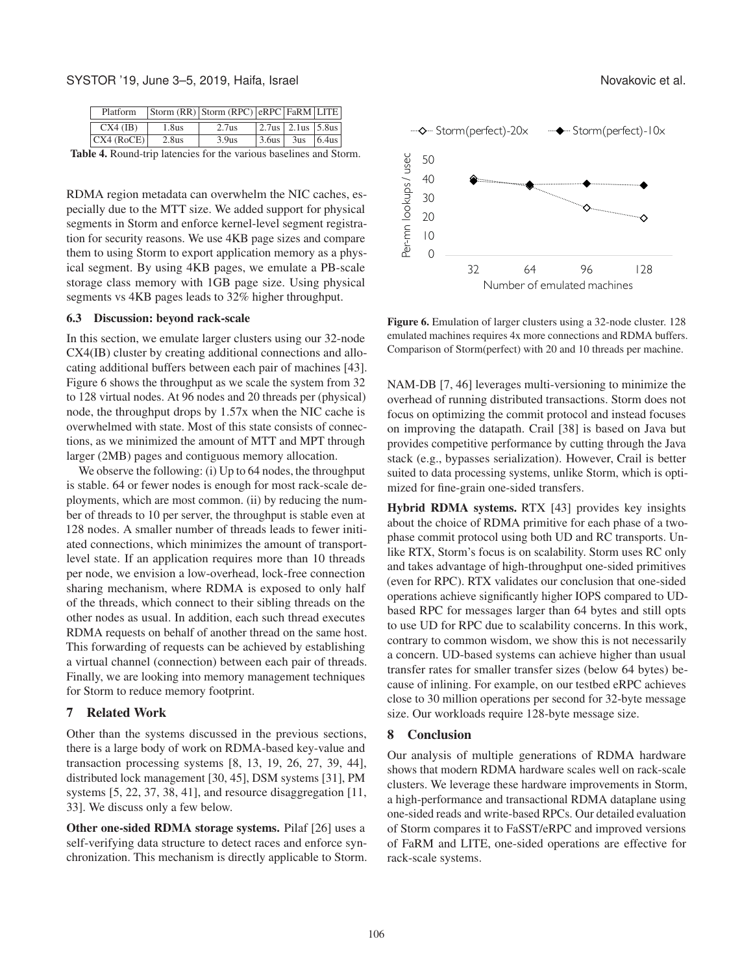SYSTOR '19, June 3–5, 2019, Haifa, Israel Novakovic et al.

| Platform   |       | $ S^{form}$ (RR) $ S^{form}$ (RPC) $ RPC F^{arm}$ LITE |                  |                   |  |
|------------|-------|--------------------------------------------------------|------------------|-------------------|--|
| $CX4$ (IB) | 1.8us | 2.7us                                                  |                  | 2.7us 2.1us 5.8us |  |
| CX4 (ROCE) | 2.8us | 3.9us                                                  | $\frac{3.6}{us}$ | $3us$ 6.4us       |  |

Table 4. Round-trip latencies for the various baselines and Storm.

RDMA region metadata can overwhelm the NIC caches, especially due to the MTT size. We added support for physical segments in Storm and enforce kernel-level segment registration for security reasons. We use 4KB page sizes and compare them to using Storm to export application memory as a physical segment. By using 4KB pages, we emulate a PB-scale storage class memory with 1GB page size. Using physical segments vs 4KB pages leads to 32% higher throughput.

#### 6.3 Discussion: beyond rack-scale

In this section, we emulate larger clusters using our 32-node CX4(IB) cluster by creating additional connections and allocating additional buffers between each pair of machines [43]. Figure 6 shows the throughput as we scale the system from 32 to 128 virtual nodes. At 96 nodes and 20 threads per (physical) node, the throughput drops by 1.57x when the NIC cache is overwhelmed with state. Most of this state consists of connections, as we minimized the amount of MTT and MPT through larger (2MB) pages and contiguous memory allocation.

We observe the following: (i) Up to 64 nodes, the throughput is stable. 64 or fewer nodes is enough for most rack-scale deployments, which are most common. (ii) by reducing the number of threads to 10 per server, the throughput is stable even at 128 nodes. A smaller number of threads leads to fewer initiated connections, which minimizes the amount of transportlevel state. If an application requires more than 10 threads per node, we envision a low-overhead, lock-free connection sharing mechanism, where RDMA is exposed to only half of the threads, which connect to their sibling threads on the other nodes as usual. In addition, each such thread executes RDMA requests on behalf of another thread on the same host. This forwarding of requests can be achieved by establishing a virtual channel (connection) between each pair of threads. Finally, we are looking into memory management techniques for Storm to reduce memory footprint.

#### 7 Related Work

Other than the systems discussed in the previous sections, there is a large body of work on RDMA-based key-value and transaction processing systems [8, 13, 19, 26, 27, 39, 44], distributed lock management [30, 45], DSM systems [31], PM systems [5, 22, 37, 38, 41], and resource disaggregation [11, 33]. We discuss only a few below.

Other one-sided RDMA storage systems. Pilaf [26] uses a self-verifying data structure to detect races and enforce synchronization. This mechanism is directly applicable to Storm.



Figure 6. Emulation of larger clusters using a 32-node cluster. 128 emulated machines requires 4x more connections and RDMA buffers. Comparison of Storm(perfect) with 20 and 10 threads per machine.

NAM-DB [7, 46] leverages multi-versioning to minimize the overhead of running distributed transactions. Storm does not focus on optimizing the commit protocol and instead focuses on improving the datapath. Crail [38] is based on Java but provides competitive performance by cutting through the Java stack (e.g., bypasses serialization). However, Crail is better suited to data processing systems, unlike Storm, which is optimized for fine-grain one-sided transfers.

Hybrid RDMA systems. RTX [43] provides key insights about the choice of RDMA primitive for each phase of a twophase commit protocol using both UD and RC transports. Unlike RTX, Storm's focus is on scalability. Storm uses RC only and takes advantage of high-throughput one-sided primitives (even for RPC). RTX validates our conclusion that one-sided operations achieve significantly higher IOPS compared to UDbased RPC for messages larger than 64 bytes and still opts to use UD for RPC due to scalability concerns. In this work, contrary to common wisdom, we show this is not necessarily a concern. UD-based systems can achieve higher than usual transfer rates for smaller transfer sizes (below 64 bytes) because of inlining. For example, on our testbed eRPC achieves close to 30 million operations per second for 32-byte message size. Our workloads require 128-byte message size.

#### 8 Conclusion

Our analysis of multiple generations of RDMA hardware shows that modern RDMA hardware scales well on rack-scale clusters. We leverage these hardware improvements in Storm, a high-performance and transactional RDMA dataplane using one-sided reads and write-based RPCs. Our detailed evaluation of Storm compares it to FaSST/eRPC and improved versions of FaRM and LITE, one-sided operations are effective for rack-scale systems.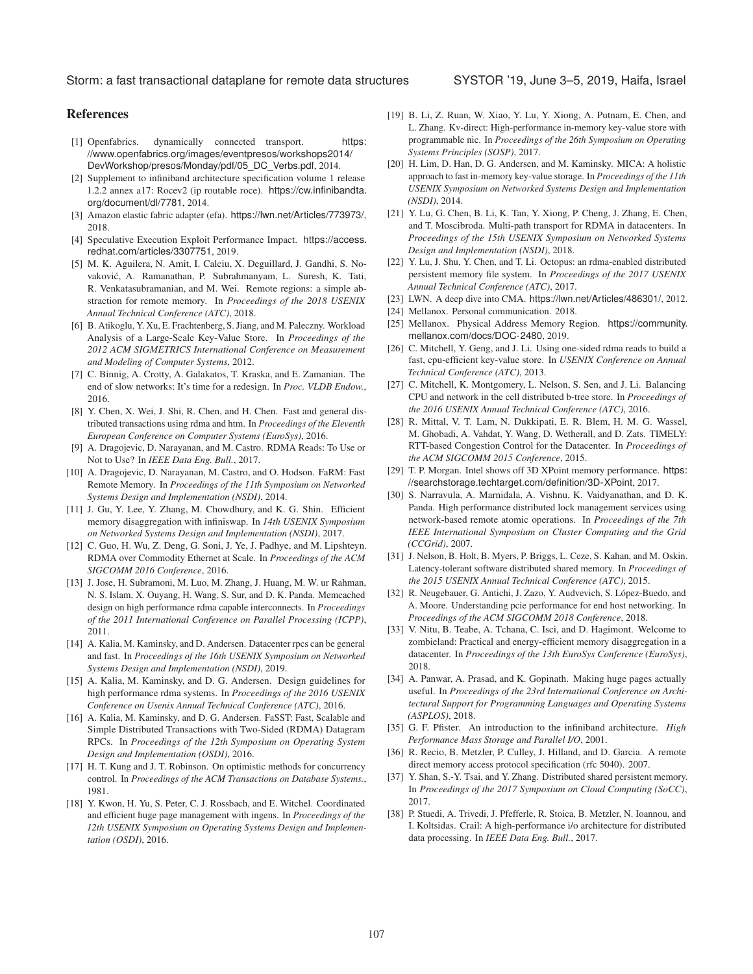# References

- [1] Openfabrics. dynamically connected transport. https: //www.openfabrics.org/images/eventpresos/workshops2014/ DevWorkshop/presos/Monday/pdf/05\_DC\_Verbs.pdf, 2014.
- [2] Supplement to infiniband architecture specification volume 1 release 1.2.2 annex a17: Rocev2 (ip routable roce). https://cw.infinibandta. org/document/dl/7781, 2014.
- [3] Amazon elastic fabric adapter (efa). https://lwn.net/Articles/773973/, 2018.
- [4] Speculative Execution Exploit Performance Impact. https://access. redhat.com/articles/3307751, 2019.
- [5] M. K. Aguilera, N. Amit, I. Calciu, X. Deguillard, J. Gandhi, S. Novakovic, A. Ramanathan, P. Subrahmanyam, L. Suresh, K. Tati, ´ R. Venkatasubramanian, and M. Wei. Remote regions: a simple abstraction for remote memory. In *Proceedings of the 2018 USENIX Annual Technical Conference (ATC)*, 2018.
- [6] B. Atikoglu, Y. Xu, E. Frachtenberg, S. Jiang, and M. Paleczny. Workload Analysis of a Large-Scale Key-Value Store. In *Proceedings of the 2012 ACM SIGMETRICS International Conference on Measurement and Modeling of Computer Systems*, 2012.
- [7] C. Binnig, A. Crotty, A. Galakatos, T. Kraska, and E. Zamanian. The end of slow networks: It's time for a redesign. In *Proc. VLDB Endow.*, 2016.
- [8] Y. Chen, X. Wei, J. Shi, R. Chen, and H. Chen. Fast and general distributed transactions using rdma and htm. In *Proceedings of the Eleventh European Conference on Computer Systems (EuroSys)*, 2016.
- [9] A. Dragojevic, D. Narayanan, and M. Castro. RDMA Reads: To Use or Not to Use? In *IEEE Data Eng. Bull.*, 2017.
- [10] A. Dragojevic, D. Narayanan, M. Castro, and O. Hodson. FaRM: Fast Remote Memory. In *Proceedings of the 11th Symposium on Networked Systems Design and Implementation (NSDI)*, 2014.
- [11] J. Gu, Y. Lee, Y. Zhang, M. Chowdhury, and K. G. Shin. Efficient memory disaggregation with infiniswap. In *14th USENIX Symposium on Networked Systems Design and Implementation (NSDI)*, 2017.
- [12] C. Guo, H. Wu, Z. Deng, G. Soni, J. Ye, J. Padhye, and M. Lipshteyn. RDMA over Commodity Ethernet at Scale. In *Proceedings of the ACM SIGCOMM 2016 Conference*, 2016.
- [13] J. Jose, H. Subramoni, M. Luo, M. Zhang, J. Huang, M. W. ur Rahman, N. S. Islam, X. Ouyang, H. Wang, S. Sur, and D. K. Panda. Memcached design on high performance rdma capable interconnects. In *Proceedings of the 2011 International Conference on Parallel Processing (ICPP)*, 2011.
- [14] A. Kalia, M. Kaminsky, and D. Andersen. Datacenter rpcs can be general and fast. In *Proceedings of the 16th USENIX Symposium on Networked Systems Design and Implementation (NSDI)*, 2019.
- [15] A. Kalia, M. Kaminsky, and D. G. Andersen. Design guidelines for high performance rdma systems. In *Proceedings of the 2016 USENIX Conference on Usenix Annual Technical Conference (ATC)*, 2016.
- [16] A. Kalia, M. Kaminsky, and D. G. Andersen. FaSST: Fast, Scalable and Simple Distributed Transactions with Two-Sided (RDMA) Datagram RPCs. In *Proceedings of the 12th Symposium on Operating System Design and Implementation (OSDI)*, 2016.
- [17] H. T. Kung and J. T. Robinson. On optimistic methods for concurrency control. In *Proceedings of the ACM Transactions on Database Systems.*, 1981.
- [18] Y. Kwon, H. Yu, S. Peter, C. J. Rossbach, and E. Witchel. Coordinated and efficient huge page management with ingens. In *Proceedings of the 12th USENIX Symposium on Operating Systems Design and Implementation (OSDI)*, 2016.
- [19] B. Li, Z. Ruan, W. Xiao, Y. Lu, Y. Xiong, A. Putnam, E. Chen, and L. Zhang. Kv-direct: High-performance in-memory key-value store with programmable nic. In *Proceedings of the 26th Symposium on Operating Systems Principles (SOSP)*, 2017.
- [20] H. Lim, D. Han, D. G. Andersen, and M. Kaminsky. MICA: A holistic approach to fast in-memory key-value storage. In *Proceedings of the 11th USENIX Symposium on Networked Systems Design and Implementation (NSDI)*, 2014.
- [21] Y. Lu, G. Chen, B. Li, K. Tan, Y. Xiong, P. Cheng, J. Zhang, E. Chen, and T. Moscibroda. Multi-path transport for RDMA in datacenters. In *Proceedings of the 15th USENIX Symposium on Networked Systems Design and Implementation (NSDI)*, 2018.
- [22] Y. Lu, J. Shu, Y. Chen, and T. Li. Octopus: an rdma-enabled distributed persistent memory file system. In *Proceedings of the 2017 USENIX Annual Technical Conference (ATC)*, 2017.
- [23] LWN. A deep dive into CMA. https://lwn.net/Articles/486301/, 2012.
- [24] Mellanox. Personal communication. 2018.
- [25] Mellanox. Physical Address Memory Region. https://community. mellanox.com/docs/DOC-2480, 2019.
- [26] C. Mitchell, Y. Geng, and J. Li. Using one-sided rdma reads to build a fast, cpu-efficient key-value store. In *USENIX Conference on Annual Technical Conference (ATC)*, 2013.
- [27] C. Mitchell, K. Montgomery, L. Nelson, S. Sen, and J. Li. Balancing CPU and network in the cell distributed b-tree store. In *Proceedings of the 2016 USENIX Annual Technical Conference (ATC)*, 2016.
- [28] R. Mittal, V. T. Lam, N. Dukkipati, E. R. Blem, H. M. G. Wassel, M. Ghobadi, A. Vahdat, Y. Wang, D. Wetherall, and D. Zats. TIMELY: RTT-based Congestion Control for the Datacenter. In *Proceedings of the ACM SIGCOMM 2015 Conference*, 2015.
- [29] T. P. Morgan. Intel shows off 3D XPoint memory performance. https: //searchstorage.techtarget.com/definition/3D-XPoint, 2017.
- [30] S. Narravula, A. Marnidala, A. Vishnu, K. Vaidyanathan, and D. K. Panda. High performance distributed lock management services using network-based remote atomic operations. In *Proceedings of the 7th IEEE International Symposium on Cluster Computing and the Grid (CCGrid)*, 2007.
- [31] J. Nelson, B. Holt, B. Myers, P. Briggs, L. Ceze, S. Kahan, and M. Oskin. Latency-tolerant software distributed shared memory. In *Proceedings of the 2015 USENIX Annual Technical Conference (ATC)*, 2015.
- [32] R. Neugebauer, G. Antichi, J. Zazo, Y. Audvevich, S. López-Buedo, and A. Moore. Understanding pcie performance for end host networking. In *Proceedings of the ACM SIGCOMM 2018 Conference*, 2018.
- [33] V. Nitu, B. Teabe, A. Tchana, C. Isci, and D. Hagimont. Welcome to zombieland: Practical and energy-efficient memory disaggregation in a datacenter. In *Proceedings of the 13th EuroSys Conference (EuroSys)*, 2018.
- [34] A. Panwar, A. Prasad, and K. Gopinath. Making huge pages actually useful. In *Proceedings of the 23rd International Conference on Architectural Support for Programming Languages and Operating Systems (ASPLOS)*, 2018.
- [35] G. F. Pfister. An introduction to the infiniband architecture. *High Performance Mass Storage and Parallel I/O*, 2001.
- [36] R. Recio, B. Metzler, P. Culley, J. Hilland, and D. Garcia. A remote direct memory access protocol specification (rfc 5040). 2007.
- [37] Y. Shan, S.-Y. Tsai, and Y. Zhang. Distributed shared persistent memory. In *Proceedings of the 2017 Symposium on Cloud Computing (SoCC)*, 2017.
- [38] P. Stuedi, A. Trivedi, J. Pfefferle, R. Stoica, B. Metzler, N. Ioannou, and I. Koltsidas. Crail: A high-performance i/o architecture for distributed data processing. In *IEEE Data Eng. Bull.*, 2017.